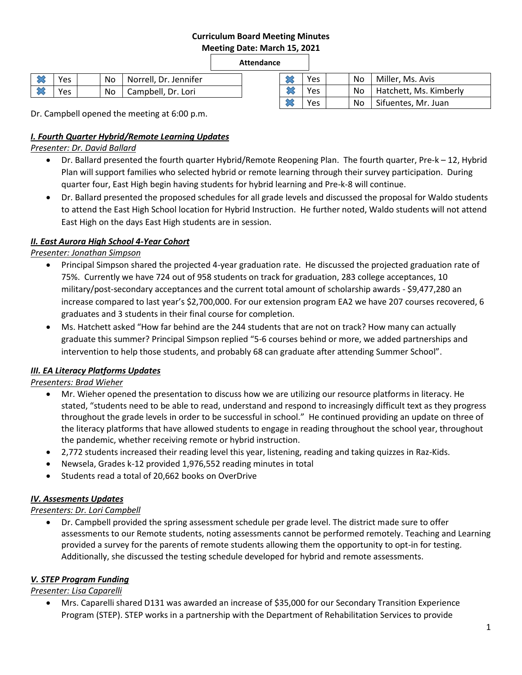#### **Curriculum Board Meeting Minutes Meeting Date: March 15, 2021**

## **Attendance**

| l Yes      |  | No Norrell, Dr. Jennifer |  |
|------------|--|--------------------------|--|
| <b>Yes</b> |  | No   Campbell, Dr. Lori  |  |

|  | Yes |  | No  | Miller, Ms. Avis            |  |  |  |
|--|-----|--|-----|-----------------------------|--|--|--|
|  | Yes |  |     | No   Hatchett, Ms. Kimberly |  |  |  |
|  | Yes |  | No. | Sifuentes, Mr. Juan         |  |  |  |

Dr. Campbell opened the meeting at 6:00 p.m.

## *I. Fourth Quarter Hybrid/Remote Learning Updates*

## *Presenter: Dr. David Ballard*

- Dr. Ballard presented the fourth quarter Hybrid/Remote Reopening Plan. The fourth quarter, Pre-k 12, Hybrid Plan will support families who selected hybrid or remote learning through their survey participation. During quarter four, East High begin having students for hybrid learning and Pre-k-8 will continue.
- Dr. Ballard presented the proposed schedules for all grade levels and discussed the proposal for Waldo students to attend the East High School location for Hybrid Instruction. He further noted, Waldo students will not attend East High on the days East High students are in session.

## *II. East Aurora High School 4-Year Cohort*

## *Presenter: Jonathan Simpson*

- Principal Simpson shared the projected 4-year graduation rate. He discussed the projected graduation rate of 75%. Currently we have 724 out of 958 students on track for graduation, 283 college acceptances, 10 military/post-secondary acceptances and the current total amount of scholarship awards - \$9,477,280 an increase compared to last year's \$2,700,000. For our extension program EA2 we have 207 courses recovered, 6 graduates and 3 students in their final course for completion.
- Ms. Hatchett asked "How far behind are the 244 students that are not on track? How many can actually graduate this summer? Principal Simpson replied "5-6 courses behind or more, we added partnerships and intervention to help those students, and probably 68 can graduate after attending Summer School".

## *III. EA Literacy Platforms Updates*

## *Presenters: Brad Wieher*

- Mr. Wieher opened the presentation to discuss how we are utilizing our resource platforms in literacy. He stated, "students need to be able to read, understand and respond to increasingly difficult text as they progress throughout the grade levels in order to be successful in school." He continued providing an update on three of the literacy platforms that have allowed students to engage in reading throughout the school year, throughout the pandemic, whether receiving remote or hybrid instruction.
- 2,772 students increased their reading level this year, listening, reading and taking quizzes in Raz-Kids.
- Newsela, Grades k-12 provided 1,976,552 reading minutes in total
- Students read a total of 20,662 books on OverDrive

## *IV. Assesments Updates*

## *Presenters: Dr. Lori Campbell*

 Dr. Campbell provided the spring assessment schedule per grade level. The district made sure to offer assessments to our Remote students, noting assessments cannot be performed remotely. Teaching and Learning provided a survey for the parents of remote students allowing them the opportunity to opt-in for testing. Additionally, she discussed the testing schedule developed for hybrid and remote assessments.

## *V. STEP Program Funding*

## *Presenter: Lisa Caparelli*

 Mrs. Caparelli shared D131 was awarded an increase of \$35,000 for our Secondary Transition Experience Program (STEP). STEP works in a partnership with the Department of Rehabilitation Services to provide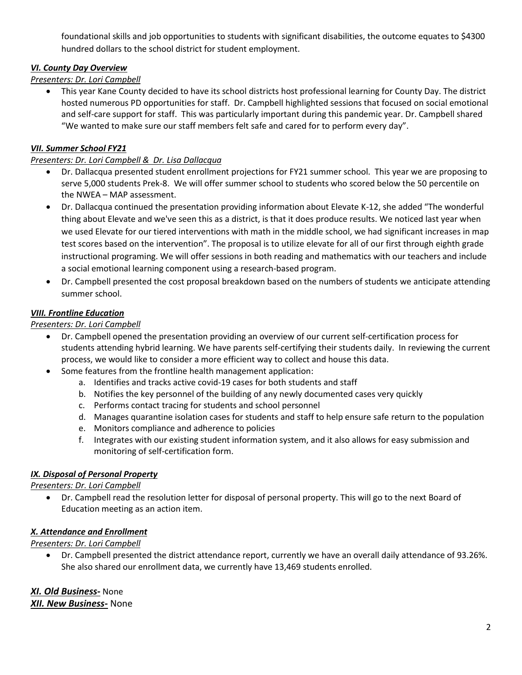foundational skills and job opportunities to students with significant disabilities, the outcome equates to \$4300 hundred dollars to the school district for student employment.

## *VI. County Day Overview*

## *Presenters: Dr. Lori Campbell*

 This year Kane County decided to have its school districts host professional learning for County Day. The district hosted numerous PD opportunities for staff. Dr. Campbell highlighted sessions that focused on social emotional and self-care support for staff. This was particularly important during this pandemic year. Dr. Campbell shared "We wanted to make sure our staff members felt safe and cared for to perform every day".

### *VII. Summer School FY21*

### *Presenters: Dr. Lori Campbell & Dr. Lisa Dallacqua*

- Dr. Dallacqua presented student enrollment projections for FY21 summer school. This year we are proposing to serve 5,000 students Prek-8. We will offer summer school to students who scored below the 50 percentile on the NWEA – MAP assessment.
- Dr. Dallacqua continued the presentation providing information about Elevate K-12, she added "The wonderful thing about Elevate and we've seen this as a district, is that it does produce results. We noticed last year when we used Elevate for our tiered interventions with math in the middle school, we had significant increases in map test scores based on the intervention". The proposal is to utilize elevate for all of our first through eighth grade instructional programing. We will offer sessions in both reading and mathematics with our teachers and include a social emotional learning component using a research-based program.
- Dr. Campbell presented the cost proposal breakdown based on the numbers of students we anticipate attending summer school.

### *VIII. Frontline Education*

### *Presenters: Dr. Lori Campbell*

- Dr. Campbell opened the presentation providing an overview of our current self-certification process for students attending hybrid learning. We have parents self-certifying their students daily. In reviewing the current process, we would like to consider a more efficient way to collect and house this data.
- Some features from the frontline health management application:
	- a. Identifies and tracks active covid-19 cases for both students and staff
	- b. Notifies the key personnel of the building of any newly documented cases very quickly
	- c. Performs contact tracing for students and school personnel
	- d. Manages quarantine isolation cases for students and staff to help ensure safe return to the population
	- e. Monitors compliance and adherence to policies
	- f. Integrates with our existing student information system, and it also allows for easy submission and monitoring of self-certification form.

## *IX. Disposal of Personal Property*

## *Presenters: Dr. Lori Campbell*

 Dr. Campbell read the resolution letter for disposal of personal property. This will go to the next Board of Education meeting as an action item.

## *X. Attendance and Enrollment*

## *Presenters: Dr. Lori Campbell*

 Dr. Campbell presented the district attendance report, currently we have an overall daily attendance of 93.26%. She also shared our enrollment data, we currently have 13,469 students enrolled.

*XI. Old Business-* None *XII. New Business-* None